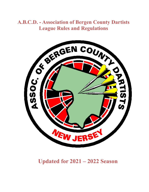# **A.B.C.D. - Association of Bergen County Dartists**



# **Updated for 2021 – 2022 Season**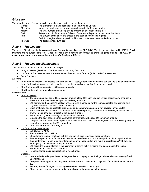## *Glossary*

| The following terms / meanings will apply when used in the body of these rules. |  |  |
|---------------------------------------------------------------------------------|--|--|
|                                                                                 |  |  |

| Game:      | The element of a match recognized as 301, 501, or Cricket.                          |
|------------|-------------------------------------------------------------------------------------|
| Masculine: | Masculine gender nouns or pronouns will include the Female gender.                  |
| Match:     | The total number of games played per night, as described in rule #11.               |
| Poll:      | Refers to a poll of the League Officers, Conference Representatives, team Captains. |
| Turn:      | The player's throw of 3 darts or less in the case of completing a game.             |
|            | Each turn begins when the previous Thrower's darts have been marked and pulled.     |
| Thrower:   | The person whose turn it is.                                                        |

## *Rule 1 – The League*

The name of this league is the **Association of Bergen County Dartists (A.B.C.D.).** This league was founded in 1977 by Basil Pritchard and its purpose is to foster Good Fellowship and Sportsmanship through playing the game of darts*.* **The A.B.C.D. also supports and encourages the practice of a Designated Driver.**

## *Rule 2 – The League Management*

*Shall be vested in the Board of Directors consisting of:*

- League Officers (President, Vice-President & Secretary/Treasurer)
- Conference Representatives 2 representatives from each conference (A, B, C & D Conferences)
- **Team Captains**

*Elections*

- The League Officers will be elected to a term of two (2) years, after which the officers can seek re-election for another term. Certain circumstances could have the current league officers in office for a longer period.
- The Conference Representatives will be elected yearly
- The Secretary will manage all correspondence

#### *Responsibilities*

- League Officers
	- $\circ$  These are paid positions. There is a set amount allotted for each League Officer position. Any changes to these amounts must be voted upon by the League Officers.
	- o Will administer the season's applications, comprise a schedule for the teams accepted and provide and organize the rules contained herein ("Rules ").
	-
	- $\circ$  Make final decisions on protests; arguments or disputes when same are not covered in these rules  $\circ$  Make decisions on situations that warrant immediate response, in the opinion of the League Officer Make decisions on situations that warrant immediate response, in the opinion of the League Officers while always keeping the best interest of the league a priority
	- Schedule and govern meetings of the Board of Directors<br>○ Organize the post-season banquets/awards ceremonies
	- o Organize the post-season banquets/awards ceremonies. All League Officers must attend all banquets/awards ceremonies to present the awards to the players. The League Officers (and one guest) are exempt from paying for the 2<sup>nd</sup> banquet fee.
	- o Direct the expenses of the league.
	- Conference Representatives
		- o Established in 1999
			- These are not paid positions
			- $\circ$  Should attend league meetings with the League Officers to discuss league matters.<br>  $\circ$  Acts as a representative for the teams within their conference, to voice the opinions
			- Acts as a representative for the teams within their conference, to voice the opinions of the captains within their conference. Needs to be knowledgeable on the league rules and make interpretations ("not decisions") when giving consultation to a player or team.
			- $\circ$  Will assist the league officers in the alignment of teams within divisions and conferences, the league tournaments and the annual banquets.
			- o Responsible for making suggestions of rule changes.
	- Captains
		- o Needs to be knowledgeable on the league rules and to play within their guidelines, always fostering Good Sportsmanship.
		- o Complete roster applications, Payment of Fees and the collection and payment of monthly dues as per rule #3.
		- o Rosters, Roster Changes, submitting score sheets weekly to the league.
		- o Attend a yearly captain meeting and inform players of happenings in the league.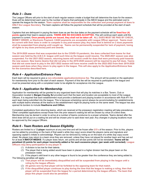## *Rule 3 – Dues*

The League Officers will prior to the start of each regular season create a budget that will determine the dues for the season. Dues will be determined each year by the number of teams that participate in the ABCD league and the estimated cost to operate the league for the season. **Team captains shall be responsible for the collection and prompt payment of dues to ONLY the League Secretary.** The team captains will follow the payment schedule that will be provided at the start of each season.

Captains that are delinquent in paying the team dues as per the due dates on the payment schedule will be **fined four (4) points** against their team's season points. **THERE ARE NO EXCUSES ACCEPTED.** This will continue each week until the payment is current**. Once penalty points are issued, they shall not be taken off. ALL DUES MUST BE PAID BY CHECK, MONEY ORDER, or Electronic Payment. CASH payments are acceptable with League Officer approval. Teams must be current with their dues in order to compete in any post-season play. Any team that is behind on 2 dues payments shall be suspended from playing until caught up. Teams can be permanently suspended for lack of payment, losing all rights to any dues previously paid and awards.**

**The 2019-2020 season that was suspended due to the COVID-19 pandemic, the dues collected from teams for that season was held by the A.B.C.D. league until such time as the league could resume. The 2020-2021 season was also suspended. For the 2021-2022 season, returning teams will receive credit for dues that were previously paid towards the new season. New teams (teams that did not play in the 2019-2020 season) will be required to pay full dues. Teams that did not come back to play in the 2021-2022 season will have receive credit for the 2022-2023 from their 2019-2020 season paid dues when they return to play again in the league. This will also apply to the Application/Entrance fees for the scenarios described here.** 

## *Rule 4 – Application/Entrance Fees*

Each team will be required to give a **non-refundable application/entrance fee**. The amount will be posted on the application for membership form prior to the start of each season. Payment of this fee will be required to participate in the league and must be presented along with a completed roster to be eligible for acceptance into the League.

## *Rule 5 - Application for Membership*

Application for membership will be granted to any organized team that will play its matches in a Bar, Tavern, Club or Association located in **Bergen County, NJ** provided such that the team and location are acceptable to most of the League Officers. It is required that each establishment must provide a dartboard and playing location in accordance with Rule #11 for each team being submitted into the league. This is because scheduling cannot always be accommodating for establishments with multiple teams whereas all the teams in the establishment might be playing home on the same week. The league has also opened its borders to include **Hawthorne and Clifton.**

Completed applications from returning teams, which are received at the preseason registration meeting will take precedence**.**  Other completed applications except those from the prior season's waiting list will be chosen by virtue of a blind draw**.**  Membership may be denied in order to arrive at a number of teams conducive to a proper schedule. Teams denied after the blind draw will be put on a waiting list and will be chosen prior to said draw next year. Any changes in playing locations must be approved by the League Officers.

## *Rule 6 - Team Rosters and Season Eligibility*

Rosters are limited to a 12**-player** maximum at any one time and will be frozen after **2/3's** of the season. Prior to this, players can be added by providing on the back of that week's white (top copy) score sheet the players name and signature and opposing captain's initials to acknowledge. Players can be removed by noting so on the back of a white (top copy) score sheet. No player may return to a team once they are removed, unless they have not played for another team and has sat out for at least **4 MATCH WEEKS**. If a player does return, win points and all-star points will not be reinstated. **Teams will be penalized (2) points for each player incorrectly added or for each excessive player, (per week until corrected). League Officers may deny participation to any player if:**

- (1) A division is too low for their talents
- (2) The player that is being added would have been in placed in a higher division had the player been on the preseason roster.

(3) If the player's skill level in any other league is found to be greater than the conference they are being added to. The following penalties will apply:

- (1) **That player will be immediately disqualified and will be suspended from playing in the league until a ruling by the league officers.**
- (2) **All games won by that player will be forfeited to the opposing team for that match.**
- (3) **If the disqualified player continues to play during the time that the league is making a ruling, then that player will be suspended from the league for a period determined by the league officers. The team that plays this player could also be penalized.**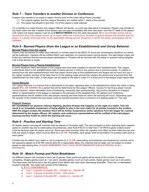## *Rule 7 – Team Transfers to another Division or Conference*

A player may transfer to an equal or higher division prior to the roster being frozen provided:

- (1) The original captain and the League Secretary are notified within 1 week of the transfer
- (2) The player has played in less than 1/2 of the season's total matches.

For a transfer to a lower division the League Officers will decide, or a poll may take place if necessary. Players may transfer to any team within the first 4 weeks of the season and can play immediately with their new team; from the  $5<sup>th</sup>$  week of the season until rosters are frozen players must sit out **4 MATCH WEEKS** from the week last played. **Wins and All-Star points will be transferred only if the player moves up or stays within the conference. Number of games played will transfer with the player. If a player does play prior to the applicable waiting period, all games in which the player participated will be forfeited.**

## *Rule 8 - Banned Players (from the League or an Establishment) and Unruly Behavior*

#### **Banned Players from the League**

Players may be banned for either poor behavior or monies owed to the ABCD To avoid any unnecessary situations no names will be publicized. Captains will be notified ASAP upon detection of a banned player having played. The said player's team will forfeit any matches that the banned player participates in. Protests will be honored with the player in question being ineligible until a final decision is made.

#### **Banned Players from a Playing Establishment**

In some situations, there are players in the League who have been expelled or banned from establishments. The League understands that it is the establishments right to refuse service or entry to any person due to previous events. If a player is banned from the said establishment(s) then that player cannot play at that establishment and league will not have any say in the matter. Another member of the team that is on the existing roster should then replace the person that is banned from the establishment for that match. A new player can be added to the team's roster if it is done prior to the league roster freeze date.

#### **Unruly Behavior**

**ANY** player that acts in a manner that is detrimental to the team, opposing team or the establishment where the match is being played **WILL BE BANNED** for a period that will be determined by the League Officers. Causes for banning a player include Unruly behavior, verbal intimidation that is threatening, extremely poor sportsmanship, lying and/or deception to a league officer or representative of the league or damage to the premises of the establishment. All captains and conference representatives will be notified of the said players banning and time frame for which the banning will occur. Depending upon the severity of the incident the said player could be banned anywhere from a minimum of 2 playing weeks to 1 full year.

#### **Physical Violence**

**NO TOLERANCE for physical violence (fighting, physical threats) that happens on the night of a match. This will result in an immediate suspension of being eligible to play in the next match for all parties involved in the incident. After the league reviews the situation there will be further suspensions and/or ejections from the league for a period determined by the league officers. All captains and conference representatives will be notified of the said players banning and time frame for which the banning will occur.** 

## *Rule 9 - Practice and Starting Time*

All regular season and playoff matches shall be played on Thursday night. The only exception is when opposing team captains agree on another day due to extenuating circumstances. (See Rule #16) At no later than 7:30 PM the game (match) board must be declared open for player warm-up. Warm-ups shall conclude when the captains have filled out their initial line-ups and both are ready to begin, which must be done by **8:00 PM**. Thereafter, each player shall be permitted (12) practice darts prior to each game.

A forfeit may be called if any match is not in progress by **8:16 PM,** extenuating circumstances accompanied by a phone call to the opposing captain by 8:00 PM, should allow for a reasonable delay. Any matches that do begin are not subject to protest based on late starting time. **PLEASE REMEMBER THAT GOOD SPORTSMANSHIP SHOULD PREVAIL IN ALL INSTANCES.**

## *Rule 10 - Match Format and Point Breakdown*

Six different players will compete in each set of games. Team points per game will be equal to the number of players competing. Singles games count as 1 win point, doubles games count as 2-win points, triples games count as 3 win points. The Away team will throw first in the first game of the Match with each team alternating thereafter. There are no tiebreakers except in playoffs. The match will consist of the following:

#### *A, B & C CONFERENCES:*

- **Leg 1 - 6 games of singles 501 – straight on – double off**
- **Leg 2 - 3 games of double cricket – with points**
- **Leg 3 - 3 games of double 501 – double on – double off**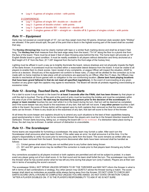• **Leg 4 - 6 games of singles cricket – with points**

#### *D CONFERENCE:*

- **Leg 1 - 6 games of single 301- double on – double off**
- **Leg 2 - 3 games of double cricket – with points**
- **Leg 3 - 3 games of double 501 – double on – double off**
- **Leg 4 - 3 singles games of 501 – straight on – double off & 3 games of singles cricket – with points**

### *Rule 11 – Equipment*

Darts may not exceed an overall length of 10", nor can they weigh more than 50 grams. American style wooden darts "Widdys" are allowed. If the point should split, the part of the point that is stuck in the highest scoring part of the board shall be counted that way.

The **Hockey (throwing) line** must be clearly marked with tape or a similar flush marking device and shall be at least 2 feet long. The **Hockey line** shall measure from the back edge away from the board, 7'9-1/4" along the floor to a plumb line from the face of the board. There must be at least 3 feet of clean throwing area behind the line. The home team will provide an 18" English Bristle board in good condition. It must be readily available to all players without distraction and firmly anchored at a Bull height of 5'-8" from the floor, (9' 7-3/8" diagonal from the bull to the front edge of the hockey line).

Lighting must be affixed in such a way as to brightly illuminate the board, reduce shadows and not physically impede the flight of the darts thrown. A scoreboard must be mounted within a reasonable lateral distance from the board. It must be visible to all players to enable them to check scores. Upon receipt of any complaints, a League Officer will inspect the situation, ASAP to arrive at a decision. Should any of the equipment not conform to these rules, (7) days will be allotted for the correction (s) to be made with no home matches to take place until all corrections are approved by an Officer. After the (7) days, the Officers may decide to reschedule all future games with no obligation to the non-conforming location**. (Some bars have playing locations that have been grand fathered in that do not meet all specified regulations).** In the event of overcrowding at any given location on any given night the captains may agree to reschedule. The Board will decide all protests regarding overcrowding or excessive noise.

## *Rule 12 - Scoring, Touched Darts, and Thrown Darts*

For a dart to score it must remain in the board for **at least 3 seconds after the FINAL dart has been thrown** by that player or until the dart is touched. The tip of the point at the point of entry must be touching the bristles and must be completely within the area of pie of the dartboard. **No dart may be touched by any person prior to the decision of the scorekeeper.** If a **player or team member** touches his own dart while it is in the board during his turn, that turn will be deemed as completed, and if the score keeper has any doubt to the exactness of any dart, that dart will not score. If **any other person** touches a dart while in the board, the score of those dart(s) will be agreed upon by both captains then removed so that the remainder of the darts can be thrown. If there is any doubt as to the exactness of any dart, that dart will score to the favor of the thrower.

At all times the score keeper and captains should try to amend any such situations to the best of their capabilities keeping good sportsmanship in mind. For a dart to be considered thrown the players arm must be in the forward direction towards the dartboard. Thrown darts bouncing, falling out, or missing the board will not be re-thrown. If a distraction takes place during a throw, the dart may be re-thrown. A certain amount of distraction is unavoidable.

## *Rule 13 - The Scorekeeper*

Home teams are responsible for furnishing a scorekeeper; the away team may furnish a caller. After each turn the Scorekeeper shall announce what has been thrown. If the caller sees an error, he shall announce it at this time. It is the player's responsibility to verify his score prior to removing any darts from the board. The score remains as written after any darts have been removed from the board. Scoring errors discovered after darts have been removed shall be handled as follows:

- (1) Cricket games shall stand if they are not rectified prior to any further darts being thrown
- (2) 301 and 501 game errors may be rectified if the correction is made prior to that players team throwing any further darts.

Any corrections accepted by all players involved or both captains are permitted and will not be subject to protest. In a team event any player going out of turn shall score -0- for that round and his team shall forfeit the turn. The scorekeeper may inform the thrower what he has scored and/or what he has left any time during that player turn (only if asked). Players are at their own risk in terms of accepting the score's account.

The scorekeeper SHALL NOT SPEAK UNLESS SPOKEN TO BY THE THROWER and MAY NOT inform the thrower in what is left in terms of dart combinations or strategy. Any other person may QUIETLY advise the thrower during a match. The score keeper shall stand as motionless as possible while always facing away from the thrower. DO NOT LEAN TO CHECK ANY DARTS SCORE UNTIL A ROUND IS COMPLETED UNLESS YOU ARE ASKED. DO NOT STATE OR MOTION "CHECK "AFTER A PLAYER DOUBLES ON. IT IS THE PLAYER'S RESPONSIBILITY TO ASK IF HE IS NOT SURE.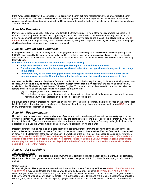If the Away captain feels that the scorekeeper is a distraction, he may ask for a replacement. If none are available, he may offer a scorekeeper of his own. If the home captain does not agree to this, then that game shall be awarded to the away captain. Complaints should be registered with an Officer in order to monitor the team. The Officers shall decide the handling of a repeat offender.

## *Rule 14 – Procedural*

Players, Scorekeeper, and Caller only are allowed inside the throwing area. (In front of the hockey towards the board for a lateral distance of approximately ten feet). Opposing players must stand at least 3 feet behind the Hockey Line. Should a player's equipment become damaged, or should a player leave the playing area during a match, that player will be allowed **3 minutes** from his turn or game being called to be on the hockey ready to throw prior to forfeiting his turn or game. Each player shall be allowed a maximum of 2 such instances per match.

## *Rule 15 - Line-up and Substitutes*

Line-up sheets will be filled out 1 category at a time, played then the next category will be filled out and so on (example: All 301/501 players are filled in by both teams and played to completion prior to the doubles cricket lineups being completed). Away captains will complete their lineups first. The home captain will then complete their lineup with no reference to the away team's lineup**.**

**Once both lineups have been filled out and opened for public viewing:**

- **All players that have been put in the lineup will be required to play if they are present.**
- **Substitutions of players in the lineup are not allowed unless that the opposing captain agrees to the change in the lineup.**
- **Open spots may be left in the lineup (for players arriving late after the match has started) if there are not enough players present to fill out the lineup for the category and the opposing captain agrees to this.**

As stated in rule #14 players will be given a 5-minute time limit to be on the hockey line ready to throw when their game or turn is called. **A substitute may be added in any instance except for the last match set** if they are eligible and immediately available to play. The last match set (Singles Cricket or Singles 501) a person will not be allowed to be substituted after the rosters are filled out unless the opposing captain agrees to this, otherwise:

- (1) In a singles game, a forfeit will be declared
- (2) In a doubles or triples game, the game will be played with less than the allotted number of players with the team forfeiting a turn in each rotation at the position of each missing player

If a player joins a game in progress no, warm-ups or delays of any kind will be permitted. If a player's space on the score sheet is left blank when that set of games has begun no player may be added. Any player who is substituted for may **NOT** compete in any of that matches remaining games.

## *Rule 16 – Postponements*

**No match may be postponed due to a shortage of players.** A match may be played light with as few as **4** players. In the event of inclement weather or an unforeseen emergency, the captains will agree to play or postpone the match by 7:30 PM on the day of the match. The home team captains shall report postponements to the League Secretary that night. In the event of a disagreement a League Officer must be contacted ASAP to assist in settling the matter.

Postponed matches will be replayed on a date set by both captains. Matches from the beginning of the season till the last match in December have until prior to the first match in January to make up their matches. Matches from the first match week in January till the last match of the season have until the weekend of the last match of the season to make up their matches. **A make-up match date MUST BE sent to the League Secretary within 2 weeks of the canceled match. If a date is not decided upon by then, each captain will receive a reminder phone call from a League Officer to get an agreed upon date to play the match. If the match is not played within the timeframe stated above, then both teams will receive a score of -0- to -0- for that match.**

## *Rule 17 - All Star Points*

#### 301, 501 & 601 Games

When **95 points** or greater are scored in a single turn, the total point scored shall be added to that players All-star point total. High-Starts only apply to games that require a double on to start the game (301 & 501). High Finishes apply to 301, 501 & 601 games.

#### Cricket Games

During a single turn All-star points are awarded as follows for the scores of C6 through C9 values, **C-6 = 120, C-7 = 140, C-8= 160, C-9 = 180.** (Example: 2 triples and a double would be marked as a C8). For corks: **B-4 = 125, B-5 = 150, B-6 = 180**. When a player throws the dart that wins the game and that dart increases the All-Start point value to a C6 or higher or a B4 or higher, then the All-Star points will count (Example 1, A player needs 3 Bulls to win and hits a Single, a Single then a Double to win the game, this will count as a B4. Example 2, a player needs three 15's and 3 Bulls and hits a Triple 15, Double Bull and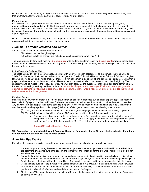Double Bull will count as a C7). Along the same lines when a player throws the dart that wins the game any remaining darts that are thrown after the winning dart will not count towards All-Star points.

#### Perfect Games

If a person throws a perfect game, this would be from the time that the person first throws the darts during the game, that person will be awarded an additional 700 All-Star points towards their season total. Perfect games are: 301 – 6 darts, 501 – 9 darts, Cricket – 8 darts. This also applies to doubles partners. In 301 & 501 games, all darts thrown count towards the game (Example: If a person threw 5 darts to get in then threw the minimum darts to complete the game, this would not be considered a perfect game).

Under no circumstance may a player add All-star points to the score sheet after the carbons have been filled out. Any team doing so will forfeit their remaining matches for the season.

## *Rule 18 – Forfeited Matches and Games*

A match shall be immediately declared a forfeited if:

- (1) A team uses an ineligible player
- (2) A team fails to be present at a scheduled match in accordance with rule #10.

The team winning by forfeit will receive **18 team points**, with the forfeiting team receiving **0 team points**. Upon a team's third forfeit, that team will be disqualified from the League and shall lose all rights to all dues, awards and eligibility to participation in the league tournament.

#### In the Event of a Forfeited Match:

The captain should fill out the score sheet as normal, with 6 players in each category for all the games. The wins must be "circled" for the players that shall be credited with the "game win". Win Points shall be applied as follows: 2 Points will be given for a win in singles 301 and singles cricket, 1 Point for a win per person in doubles 501 and doubles cricket games. Wins that a player receives as noted by the captain when filling out the score sheet will also count towards their playoff eligibility. The sheet is then to be mailed to the league secretary who will then calculate the average all-star points per-game at that point in the season for each game they had been entered in. **(example: if a player that averages 25 all-star points per game is entered to get wins in 301, double cricket, & doubles 501, that player would receive 75 all-star points for the week as well as wins for the three games).**

#### Forfeited Games:

Individual games within the match that is being played may be considered forfeited due to a lack of player(s) of the opposing team (a lack of players is defined in Rule #16 where a team needs a minimum of 4 players to consider the match playable). Any player(s) that cannot play their game because the player is missing to shoot the game shall get the forfeit. (Note that a doubles match can be played with only 1 player). When a forfeited game occurs then the following must happen:

- $(1)$  The game will be marked as an "W" and the win will go to the player who was to face the missing opponent
- (2) The individual player is entitled to "earn" All-Star points by virtue of the following scoring method:
	- The player must announce to the scorekeeper that he/she intends to begin throwing with the game(s) being shot as if were being played. (Doubles starts shall apply in accordance with the game description and you can't score 400 all-star points in 301). The allotted number of darts per game is as follows:

#### **Single (15) darts; Doubles (12) darts**

**Win Points shall be applied as follows. 2 Points will be given for a win in singles 301 and singles cricket. 1 Point for a win per person in doubles-501 and doubles cricket.**

## *Rule 19 – Bye Weeks*

For scheduled matches involving ejected teams or scheduled bye(s) the following scoring will take place:

- 1. If a team drops out during the season that creates a bye week or when a bye week is instituted into the schedule at the beginning or anytime during the season, the teams that are scheduled for the bye week will receive **0 points** for each bye week match.
- 2. Teams that are in the division with games scheduled as a bye or against a disqualified team shall not receive all-star points or personal win points. The match shall be declared a bye week, with the number of games for playoff eligibility for all players on the team will be decreased by 1. The captain does not need to send in score sheets to the league.
- 3. Teams that are outside of the division with games scheduled as a bye or against a disqualified team will be awarded wins and all-star points in accordance with Rule #18 (Forfeited Matches). The captain must fill in the score sheet as per Rule #18 (Forfeited Matches) and send the score sheet to the league.
- 4. The League Officers may implement a specialized format if, in their opinion it is in the best interest of the Conference and Division involved.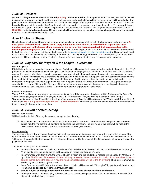## *Rule 20- Protests*

**All match disagreements should be settled privately between captains.** If an agreement can't be reached, the captain will indicate that protest will be filed, and the game shall continue under protest if possible. The score sheet will be marked at the point of protest, and an official protest must be presented in writing to the League Secretary within 48 hours. If the protest can be settled by a rule interpretation the Secretary will settle the matter. If necessary, a poll may take place. The interpretation of the Rules throughout, in relation to specific protest and irregularities, shall rest with the League Officers whose decision is **BINDING.** Protest involving a League Officer's team shall be determined by the other remaining League Officers, if a tie exists then the protest shall be resolved by a poll.

## *Rule 21 - Result Sheets*

Result sheets must be sent back to the League at the conclusion of each match by both the home team and away team**. A clear photo of the ORIGINAL (White sheet) copy of the result sheet should be taken by both captains (or team member) and sent to the league phone number on the cover of the league scorebook that corresponding to the division your team plays in.** Both captains are responsible for ensuring that this is sent. Results will also need to be entered by both the home and away captains on the league website [\(www.jerseydarts.com/abcd/captainsadmin\)](http://www.jerseydarts.com/abcd/captainsadmin). The results will need to be entered into the system by the next day after the match (usually Friday). There will be **1** penalty point given to the team per week until the results are sent and entered. Repeat offenders may be denied re-entry in subsequent seasons.

## *Rule 22 - Eligibility for Playoffs & the League Tournament*

#### Player Eligibility

Eligibility is reflected on team individual stat sheets. Each team will receive their opponent's sheet prior to the match. If a "Yes" precedes the players name that player is eligible. This means that the player has participated in at least 25% of the season's games. If a player's identity is in question, a captain may request, with the assistance of the opposing team captain, to see a photo ID. If none is available, the player must sign the back of the score sheet. If the player does not comply then that player's team shall forfeit the match. A League Officer should then be notified to research the situation if the player is found to be an impostor or if the player refuses to sign the sheet, then the player's team will forfeit the entire match. The signature must be submitted to a League Officer within 24 hours of the match for us to verify. (We will then set up a meeting with the player whose name was used, requiring a photo ID, and then get another signature for verification).

#### League Tournament

The A.B.C.D. holds an annual league tournament for its players. This tournament has been split to 2 tournaments. One is for All the league players; the other is for players in the C & D Conferences. Players wishing to compete in the League Tournaments must be playoff qualified at the time of the tournament. Awards will be given out the Winners and Runner-Ups of each event. **No A & B players may play in the C & D tournaments.** There will be women's events for each tournament when there is enough players to have matches.

## *Rule 23 - Playoff Format/Seeding*

#### Playoff Match Format

Will be identical to that of the regular season, except for the following:

1\* First team to 13 points wins the match and advances to the next round. The Finals will take place over a 2-week period with the first team to 25 points to be declared the champion. The first week of the finals will be held at the lower seeded team's location and the second week at the higher seeded.

#### Playoff Seeding

The number of teams that will make the playoffs in each conference will be determined prior to the start of the season. The typical number of team that make would be 14 teams for Conferences of 19 teams of more, 12 teams for Conferences of 15 – 18 teams, 10 teams for Conferences of 13 or 14 teams, 8 teams for Conferences of 9 to 12 teams and all teams will make the playoffs for 8 or less.

The playoff seeding will be as follows:

- In the Conferences with 3 Divisions, the Winner of each division and the next best record will be seeded 1<sup>st</sup> through  $4<sup>th</sup>$  by points, then the next x teams will be seeded by record 5th through  $x<sup>th</sup>$  seed.
- In conferences with 2 Divisions, the winner of each division and the next 2 best records will be seeded 1<sup>st</sup> through  $4<sup>th</sup>$ by points. The Winner of the second division will only be seeded higher than the 1<sup>st</sup> division if that team beat those 1<sup>st</sup> division teams during the season in head-to-head competition (ties will go to the 1<sup>st</sup> division). The next x teams will be seeded by record 5th through xth seed.
- In conferences with 4 Divisions, the winner of each division will be seeded  $1<sup>st</sup>$  through  $4<sup>th</sup>$  by points, and then the next x teams will be seeded by record 5th through xth seed.
- **This is subject to change whenever the number of divisions changes within a conference.**
- The higher seeded teams will play at home, unless an overcrowding situation exists. In such cases teams with the higher win total will take precedence.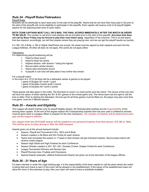## *Rule 24 - Playoff Rules/Tiebreakers*

#### Playoff Rules

Brackets will be distributed to each team prior to the start of the playoffs. Teams that do not have their dues paid in full prior to the start of the playoffs will not be eligibility to participate in the playoffs. Each captain will receive a list of all playoff eligible players for the opposing team prior to each match.

**BOTH TEAM CAPTAINS MUST CALL OR E-MAIL THE FINAL SCORES IMMEDIATELY AFTER THE MATCH IN ORDER TO BE VALID**. The number to call and e-mail address will be provided prior to the start of the playoffs. **Any team that does not call by Noon Friday may be forced to play their next match away**, regardless of the outcome. This is so that teams that due respond, accordingly, can tell their players where they are playing next, and we can get the playoff results out quickly.

If a 180, C9, 6 Bulls, a 160 or Higher Start/Finish are scored, the sheet must be signed by both captains and sent into the League Address. All other all-stars do not apply. Win points do not apply either.

#### **Tiebreakers**

For determining playoff positioning will be:

- 1. Head-to-head record
- 2. Head-to-head win points
- 3. Highest division, with division 1 being the highest
- 4. Record within similar division.
- 5. Teams total win/loss/tie record
- 6. A playoff or coin toss will take place if any further ties remain.

For a playoff match:

In the event of a 12/12 tie there will be a tiebreaker series of games to be played.

- 1 game of Singles 301 worth 1 point
- 1 game of Doubles Cricket worth 2 points
- 1 game of Doubles 501 worth 2 points

These games will take place in this order. The first team to score 3 or more points wins the match. The winner of the coin toss will have the option of either starting the 301 & 501 games or the cricket game only. The Home team has the right to call the toss or defer. Prior to starting the tiebreaker, the line-ups for all three games must be filled out. No player may play more than one game, must be 5 different players.

## *Rule 25 – Awards and Eligibility*

The League will award trophies only for playoff eligible players. All Championship trophies are the **responsibility** of the winning team captain. At the end of the regular season the Championship trophies from the prior year's conference winners must be given back to a league officer to prepare for the new champions. **The number of trophies will be determined each year by the league's officers.**

**ALL players from the 2019-2020 season will be entitled to any personal trophies from that season. (C9, B6 or 180s) This will be given to them during or after the 2022 banquet.** 

Awards given out at the annual banquet include:

- Season, Playoff and Tournament C9's, 180's and 6 Bulls
- Season Leaders in All-Stars and Win Points for each division
- Teams that concluded the season in 1<sup>st</sup> place in their division will get individual trophies. Second place teams will receive a team plague
- Season High Starts and High Finishes for each Conference
- Season Streaks Leaders in 301, 501, 601, Doubles Cricket, Singles Cricket for each Conference
- League Tournament Winners and Runner-Ups
- Playoff Runners-Ups, Finalists and Champions
- Special Awards (example: Lifetime Achievement Award) are given out at the discretion of the league officers

#### *Rule 26 - 21 Years of Age*

If a team member is under the Legal drinking age, it is the responsibility of the team captain to call the place where the match is being held and check to see it if the minor will be allowed in the establishment. If the owner of the establishment does not allow the minor in the premises to play, then your team will need to have a substitute available.